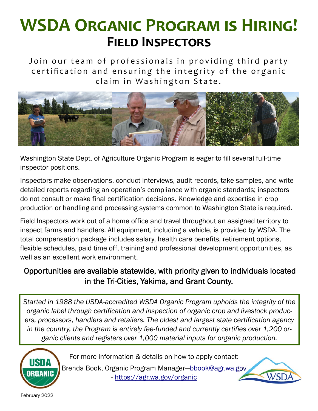# **WSDA ORGANIC PROGRAM IS HIRING! FIELD INSPECTORS**

Join our team of professionals in providing third party certification and ensuring the integrity of the organic claim in Washington State.



Washington State Dept. of Agriculture Organic Program is eager to fill several full-time inspector positions.

Inspectors make observations, conduct interviews, audit records, take samples, and write detailed reports regarding an operation's compliance with organic standards; inspectors do not consult or make final certification decisions. Knowledge and expertise in crop production or handling and processing systems common to Washington State is required.

Field Inspectors work out of a home office and travel throughout an assigned territory to inspect farms and handlers. All equipment, including a vehicle, is provided by WSDA. The total compensation package includes salary, health care benefits, retirement options, flexible schedules, paid time off, training and professional development opportunities, as well as an excellent work environment.

### Opportunities are available statewide, with priority given to individuals located in the Tri-Cities, Yakima, and Grant County.

*Started in 1988 the USDA-accredited WSDA Organic Program upholds the integrity of the organic label through certification and inspection of organic crop and livestock producers, processors, handlers and retailers. The oldest and largest state certification agency in the country, the Program is entirely fee-funded and currently certifies over 1,200 organic clients and registers over 1,000 material inputs for organic production.*



For more information & details on how to apply contact:

Brenda Book, Organic Program Manager—bbook@agr.wa.gov - https://agr.wa.gov/organic